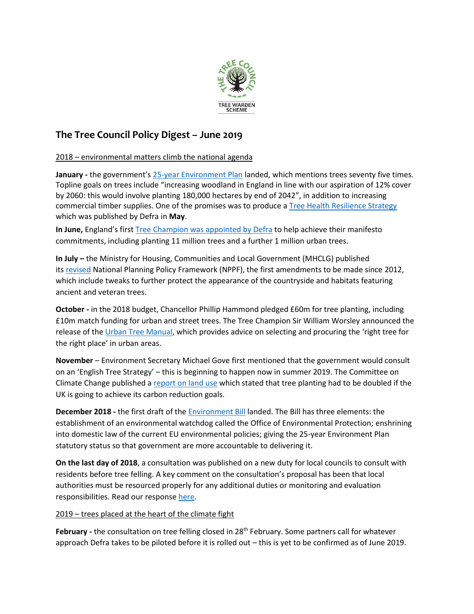

## **The Tree Council Policy Digest – June 2019**

2018 – environmental matters climb the national agenda

January - the government's [25-year Environment Plan](https://assets.publishing.service.gov.uk/government/uploads/system/uploads/attachment_data/file/693158/25-year-environment-plan.pdf) landed, which mentions trees seventy five times. Topline goals on trees include "increasing woodland in England in line with our aspiration of 12% cover by 2060: this would involve planting 180,000 hectares by end of 2042", in addition to increasing commercial timber supplies. One of the promises was to produce [a Tree Health Resilience Strategy](https://assets.publishing.service.gov.uk/government/uploads/system/uploads/attachment_data/file/710719/tree-health-resilience-strategy.pdf) which was published by Defra in **May**.

**In June,** England's first [Tree Champion was appointed by Defra](https://www.gov.uk/government/news/tree-champion-to-expand-englands-woodland) to help achieve their manifesto commitments, including planting 11 million trees and a further 1 million urban trees.

**In July –** the Ministry for Housing, Communities and Local Government (MHCLG) published its [revised](https://www.gov.uk/government/publications/national-planning-policy-framework--2) National Planning Policy Framework (NPPF), the first amendments to be made since 2012, which include tweaks to further protect the appearance of the countryside and habitats featuring ancient and veteran trees.

**October -** in the 2018 budget, Chancellor Phillip Hammond pledged £60m for tree planting, including £10m match funding for urban and street trees. The Tree Champion Sir William Worsley announced the release of the [Urban Tree Manual,](https://www.forestresearch.gov.uk/tools-and-resources/urban-tree-manual/) which provides advice on selecting and procuring the 'right tree for the right place' in urban areas.

**November** – Environment Secretary Michael Gove first mentioned that the government would consult on an 'English Tree Strategy' – this is beginning to happen now in summer 2019. The Committee on Climate Change published a [report on land use](https://www.theccc.org.uk/publication/land-use-reducing-emissions-and-preparing-for-climate-change/) which stated that tree planting had to be doubled if the UK is going to achieve its carbon reduction goals.

**December 2018 -** the first draft of the [Environment Bill](https://www.gov.uk/government/publications/draft-environment-principles-and-governance-bill-2018) landed. The Bill has three elements: the establishment of an environmental watchdog called the Office of Environmental Protection; enshrining into domestic law of the current EU environmental policies; giving the 25-year Environment Plan statutory status so that government are more accountable to delivering it.

**On the last day of 2018**, a consultation was published on a new duty for local councils to consult with residents before tree felling. A key comment on the consultation's proposal has been that local authorities must be resourced properly for any additional duties or monitoring and evaluation responsibilities. Read our respons[e here.](https://www.treecouncil.org.uk/Press-News/Have-your-say-about-your-local-street-trees-and-hedgerows)

## 2019 – trees placed at the heart of the climate fight

**February -** the consultation on tree felling closed in 28th February. Some partners call for whatever approach Defra takes to be piloted before it is rolled out – this is yet to be confirmed as of June 2019.